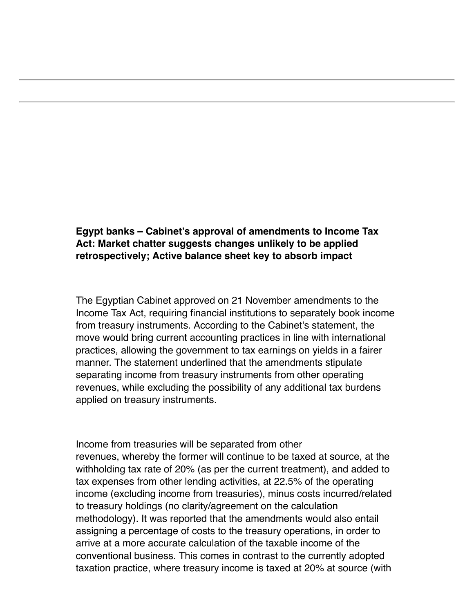## **Egypt banks – Cabinet's approval of amendments to Income Tax Act: Market chatter suggests changes unlikely to be applied retrospectively; Active balance sheet key to absorb impact**

The Egyptian Cabinet approved on 21 November amendments to the Income Tax Act, requiring financial institutions to separately book income from treasury instruments. According to the Cabinet's statement, the move would bring current accounting practices in line with international practices, allowing the government to tax earnings on yields in a fairer manner. The statement underlined that the amendments stipulate separating income from treasury instruments from other operating revenues, while excluding the possibility of any additional tax burdens applied on treasury instruments.

Income from treasuries will be separated from other revenues, whereby the former will continue to be taxed at source, at the withholding tax rate of 20% (as per the current treatment), and added to tax expenses from other lending activities, at 22.5% of the operating income (excluding income from treasuries), minus costs incurred/related to treasury holdings (no clarity/agreement on the calculation methodology). It was reported that the amendments would also entail assigning a percentage of costs to the treasury operations, in order to arrive at a more accurate calculation of the taxable income of the conventional business. This comes in contrast to the currently adopted taxation practice, where treasury income is taxed at 20% at source (with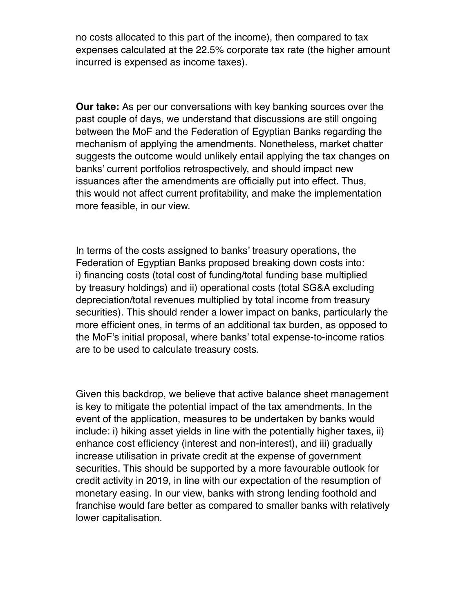no costs allocated to this part of the income), then compared to tax expenses calculated at the 22.5% corporate tax rate (the higher amount incurred is expensed as income taxes).

**Our take:** As per our conversations with key banking sources over the past couple of days, we understand that discussions are still ongoing between the MoF and the Federation of Egyptian Banks regarding the mechanism of applying the amendments. Nonetheless, market chatter suggests the outcome would unlikely entail applying the tax changes on banks' current portfolios retrospectively, and should impact new issuances after the amendments are officially put into effect. Thus, this would not affect current profitability, and make the implementation more feasible, in our view.

In terms of the costs assigned to banks' treasury operations, the Federation of Egyptian Banks proposed breaking down costs into: i) financing costs (total cost of funding/total funding base multiplied by treasury holdings) and ii) operational costs (total SG&A excluding depreciation/total revenues multiplied by total income from treasury securities). This should render a lower impact on banks, particularly the more efficient ones, in terms of an additional tax burden, as opposed to the MoF's initial proposal, where banks' total expense-to-income ratios are to be used to calculate treasury costs.

Given this backdrop, we believe that active balance sheet management is key to mitigate the potential impact of the tax amendments. In the event of the application, measures to be undertaken by banks would include: i) hiking asset yields in line with the potentially higher taxes, ii) enhance cost efficiency (interest and non-interest), and iii) gradually increase utilisation in private credit at the expense of government securities. This should be supported by a more favourable outlook for credit activity in 2019, in line with our expectation of the resumption of monetary easing. In our view, banks with strong lending foothold and franchise would fare better as compared to smaller banks with relatively lower capitalisation.